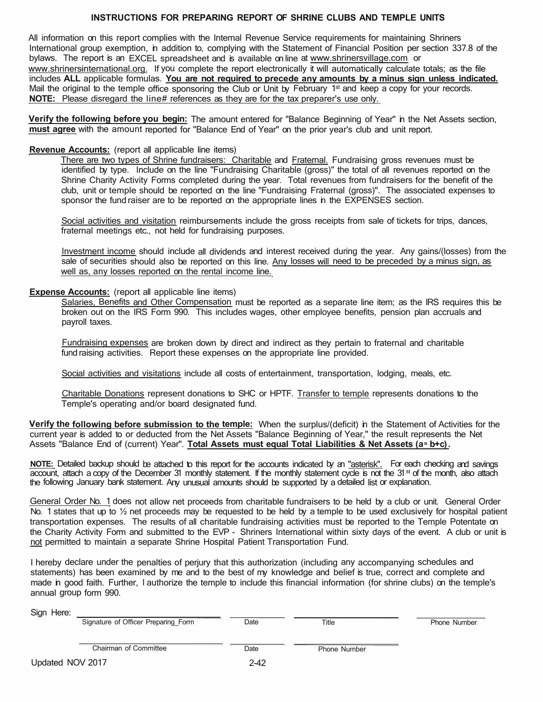# **INSTRUCTIONS FOR PREPARING REPORT OF SHRINE CLUBS AND TEMPLE UNITS**

All information on this report complies with the Internal Revenue Service requirements for maintaining Shriners International group exemption, in addition to, complying with the Statement of Financial Position per section 337.8 of the bylaws. The report is an EXCEL spreadsheet and is available on line at www.shrinersvillage.com or www.shrinersinternational.org. If you complete the report electronically it will automatically calculate totals; as the file includes **ALL** applicable formulas. **You are not required to precede any amounts by a minus sign unless indicated.**  Mail the original to the temple office sponsoring the Club or Unit by February 1<sup>st</sup> and keep a copy for your records. **NOTE:** Please disregard the line# references as they are for the tax preparer's use only.

**Verify the following before you begin:** The amount entered for "Balance Beginning of Year" in the Net Assets section, **must agree** with the amount reported for "Balance End of Year" on the prior year's club and unit report.

### **Revenue Accounts:** (report all applicable line items)

There are two types of Shrine fundraisers: Charitable and Fraternal. Fundraising gross revenues must be identified by type. Include on the line "Fundraising Charitable (gross)" the total of all revenues reported on the Shrine Charity Activity Forms completed during the year. Total revenues from fundraisers for the benefit of the club, unit or temple should be reported on the line "Fundraising Fraternal (gross)". The associated expenses to sponsor the fund raiser are to be reported on the appropriate lines in the EXPENSES section.

Social activities and visitation reimbursements include the gross receipts from sale of tickets for trips, dances, fraternal meetings etc., not held for fundraising purposes.

Investment income should include all dividends and interest received during the year. Any gains/(losses) from the sale of securities should also be reported on this line. Any losses will need to be preceded by a minus sign, as well as, any losses reported on the rental income line.

## **Expense Accounts:** (report all applicable line items)

Salaries, Benefits and Other Compensation must be reported as a separate line item; as the IRS requires this be broken out on the IRS Form 990. This includes wages, other employee benefits, pension plan accruals and payroll taxes.

Fundraising expenses are broken down by direct and indirect as they pertain to fraternal and charitable fund raising activities. Report these expenses on the appropriate line provided.

Social activities and visitations include all costs of entertainment, transportation, lodging, meals, etc.

Charitable Donations represent donations to SHC or HPTF. Transfer to temple represents donations to the Temple's operating and/or board designated fund.

**Verify the following before submission to the temple:** When the surplus/(deficit) in the Statement of Activities for the current year is added to or deducted from the Net Assets "Balance Beginning of Year," the result represents the Net Assets "Balance End of (current) Year". **Total Assets must equal Total Liabilities & Net Assets (a<sup>=</sup> b+c).** 

**NOTE:** Detailed backup should be attached to this report for the accounts indicated by an "asterisk". For each checking and savings account, attach a copy of the December 31 monthly statement. If the monthly statement cycle is not the 31<sup>st</sup> of the month, also attach the following January bank statement. Any unusual amounts should be supported by a detailed list or explanation.

General Order No. 1 does not allow net proceeds from charitable fundraisers to be held by a club or unit. General Order No. 1 states that up to  $\frac{1}{2}$  net proceeds may be requested to be held by a temple to be used exclusively for hospital patient transportation expenses. The results of all charitable fundraising activities must be reported to the Temple Potentate on the Charity Activity Form and submitted to the EVP - Shriners International within sixty days of the event. A club or unit is not permitted to maintain a separate Shrine Hospital Patient Transportation Fund.

I hereby declare under the penalties of perjury that this authorization (including any accompanying schedules and statements) has been examined by me and to the best of my knowledge and belief is true, correct and complete and made in good faith. Further, I authorize the temple to include this financial information (for shrine clubs) on the temple's annual group form 990.

### Sign Here:

| טועו ו וטוע.     | Signature of Officer Preparing Form | Date | Title               | <b>Phone Number</b> |
|------------------|-------------------------------------|------|---------------------|---------------------|
|                  | <b>Chairman of Committee</b>        | Date | <b>Phone Number</b> |                     |
| Updated NOV 2017 |                                     | 2-42 |                     |                     |